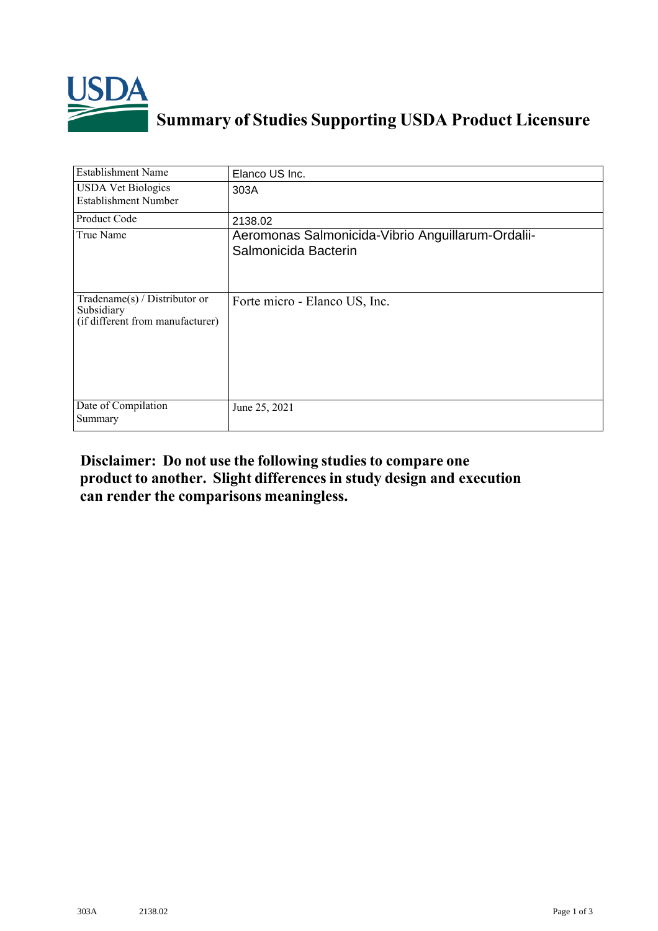

## **Summary of Studies Supporting USDA Product Licensure**

| <b>Establishment Name</b>                                                          | Elanco US Inc.                                                            |
|------------------------------------------------------------------------------------|---------------------------------------------------------------------------|
| <b>USDA Vet Biologics</b><br>Establishment Number                                  | 303A                                                                      |
| Product Code                                                                       | 2138.02                                                                   |
| True Name                                                                          | Aeromonas Salmonicida-Vibrio Anguillarum-Ordalii-<br>Salmonicida Bacterin |
| Tradename $(s)$ / Distributor or<br>Subsidiary<br>(if different from manufacturer) | Forte micro - Elanco US, Inc.                                             |
| Date of Compilation<br>Summary                                                     | June 25, 2021                                                             |

## **Disclaimer: Do not use the following studiesto compare one product to another. Slight differencesin study design and execution can render the comparisons meaningless.**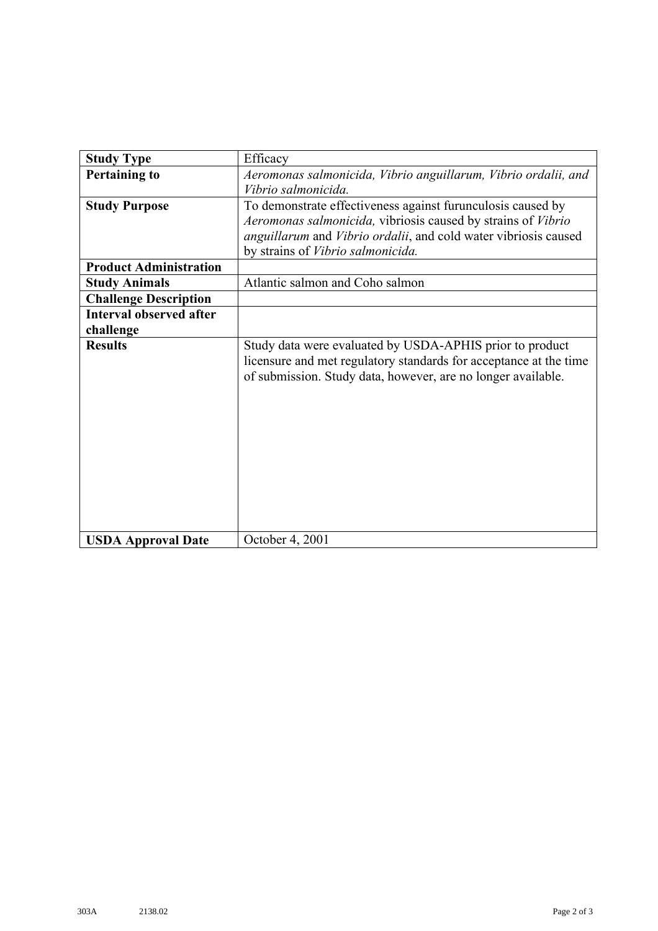| <b>Study Type</b>              | Efficacy                                                                                                                      |
|--------------------------------|-------------------------------------------------------------------------------------------------------------------------------|
| <b>Pertaining to</b>           | Aeromonas salmonicida, Vibrio anguillarum, Vibrio ordalii, and                                                                |
|                                | Vibrio salmonicida.                                                                                                           |
| <b>Study Purpose</b>           | To demonstrate effectiveness against furunculosis caused by                                                                   |
|                                | Aeromonas salmonicida, vibriosis caused by strains of Vibrio                                                                  |
|                                | anguillarum and Vibrio ordalii, and cold water vibriosis caused                                                               |
|                                | by strains of Vibrio salmonicida.                                                                                             |
| <b>Product Administration</b>  |                                                                                                                               |
| <b>Study Animals</b>           | Atlantic salmon and Coho salmon                                                                                               |
|                                |                                                                                                                               |
| <b>Challenge Description</b>   |                                                                                                                               |
| <b>Interval observed after</b> |                                                                                                                               |
| challenge                      |                                                                                                                               |
| <b>Results</b>                 | Study data were evaluated by USDA-APHIS prior to product<br>licensure and met regulatory standards for acceptance at the time |
|                                | of submission. Study data, however, are no longer available.                                                                  |
|                                |                                                                                                                               |
|                                |                                                                                                                               |
|                                |                                                                                                                               |
|                                |                                                                                                                               |
|                                |                                                                                                                               |
|                                |                                                                                                                               |
|                                |                                                                                                                               |
|                                |                                                                                                                               |
|                                |                                                                                                                               |
|                                |                                                                                                                               |
| <b>USDA Approval Date</b>      | October 4, 2001                                                                                                               |